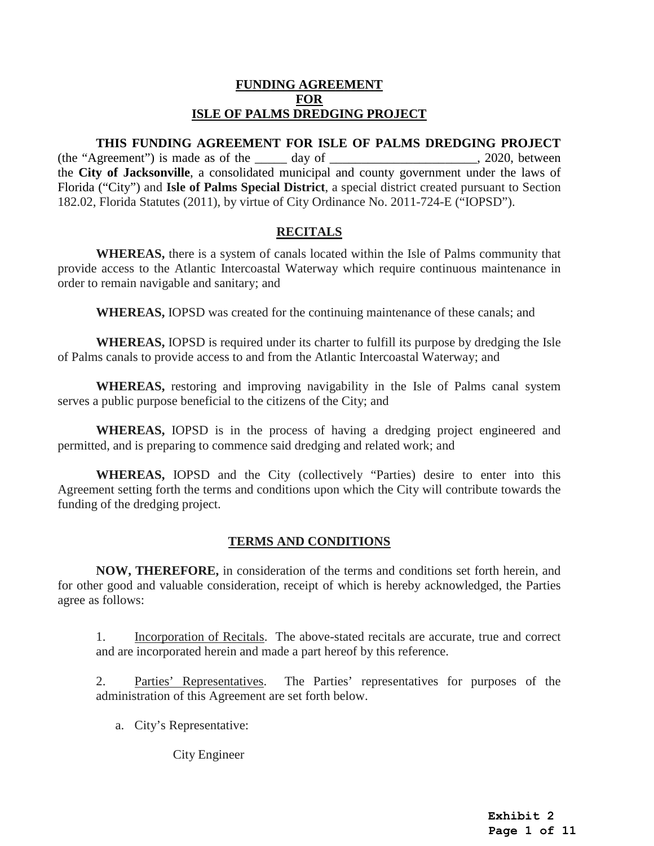## **FUNDING AGREEMENT FOR ISLE OF PALMS DREDGING PROJECT**

## **THIS FUNDING AGREEMENT FOR ISLE OF PALMS DREDGING PROJECT**  (the "Agreement") is made as of the  $\qquad \qquad$  day of  $\qquad \qquad$  2020, between the **City of Jacksonville**, a consolidated municipal and county government under the laws of Florida ("City") and **Isle of Palms Special District**, a special district created pursuant to Section 182.02, Florida Statutes (2011), by virtue of City Ordinance No. 2011-724-E ("IOPSD").

# **RECITALS**

**WHEREAS,** there is a system of canals located within the Isle of Palms community that provide access to the Atlantic Intercoastal Waterway which require continuous maintenance in order to remain navigable and sanitary; and

**WHEREAS,** IOPSD was created for the continuing maintenance of these canals; and

**WHEREAS,** IOPSD is required under its charter to fulfill its purpose by dredging the Isle of Palms canals to provide access to and from the Atlantic Intercoastal Waterway; and

**WHEREAS,** restoring and improving navigability in the Isle of Palms canal system serves a public purpose beneficial to the citizens of the City; and

**WHEREAS,** IOPSD is in the process of having a dredging project engineered and permitted, and is preparing to commence said dredging and related work; and

**WHEREAS,** IOPSD and the City (collectively "Parties) desire to enter into this Agreement setting forth the terms and conditions upon which the City will contribute towards the funding of the dredging project.

# **TERMS AND CONDITIONS**

**NOW, THEREFORE,** in consideration of the terms and conditions set forth herein, and for other good and valuable consideration, receipt of which is hereby acknowledged, the Parties agree as follows:

1. Incorporation of Recitals. The above-stated recitals are accurate, true and correct and are incorporated herein and made a part hereof by this reference.

2. Parties' Representatives.The Parties' representatives for purposes of the administration of this Agreement are set forth below.

a. City's Representative:

City Engineer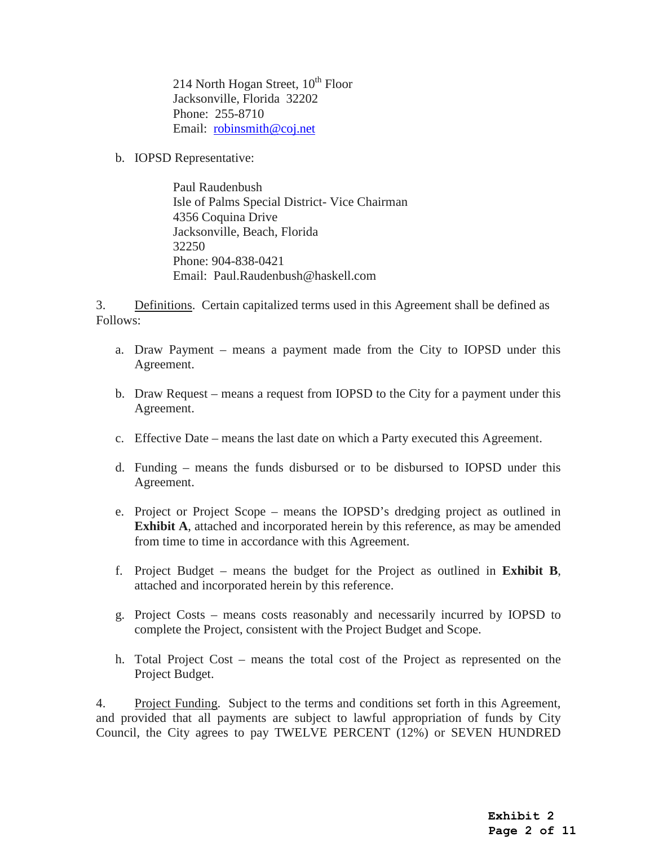214 North Hogan Street,  $10^{th}$  Floor Jacksonville, Florida 32202 Phone: 255-8710 Email: [robinsmith@coj.net](mailto:robinsmith@coj.net) 

b. IOPSD Representative:

Paul Raudenbush Isle of Palms Special District- Vice Chairman 4356 Coquina Drive Jacksonville, Beach, Florida 32250 Phone: 904-838-0421 Email: Paul.Raudenbush@haskell.com

3. Definitions.Certain capitalized terms used in this Agreement shall be defined as Follows:

- a. Draw Payment means a payment made from the City to IOPSD under this Agreement.
- b. Draw Request means a request from IOPSD to the City for a payment under this Agreement.
- c. Effective Date means the last date on which a Party executed this Agreement.
- d. Funding means the funds disbursed or to be disbursed to IOPSD under this Agreement.
- e. Project or Project Scope means the IOPSD's dredging project as outlined in **Exhibit A**, attached and incorporated herein by this reference, as may be amended from time to time in accordance with this Agreement.
- f. Project Budget means the budget for the Project as outlined in **Exhibit B**, attached and incorporated herein by this reference.
- g. Project Costs means costs reasonably and necessarily incurred by IOPSD to complete the Project, consistent with the Project Budget and Scope.
- h. Total Project Cost means the total cost of the Project as represented on the Project Budget.

4. Project Funding. Subject to the terms and conditions set forth in this Agreement, and provided that all payments are subject to lawful appropriation of funds by City Council, the City agrees to pay TWELVE PERCENT (12%) or SEVEN HUNDRED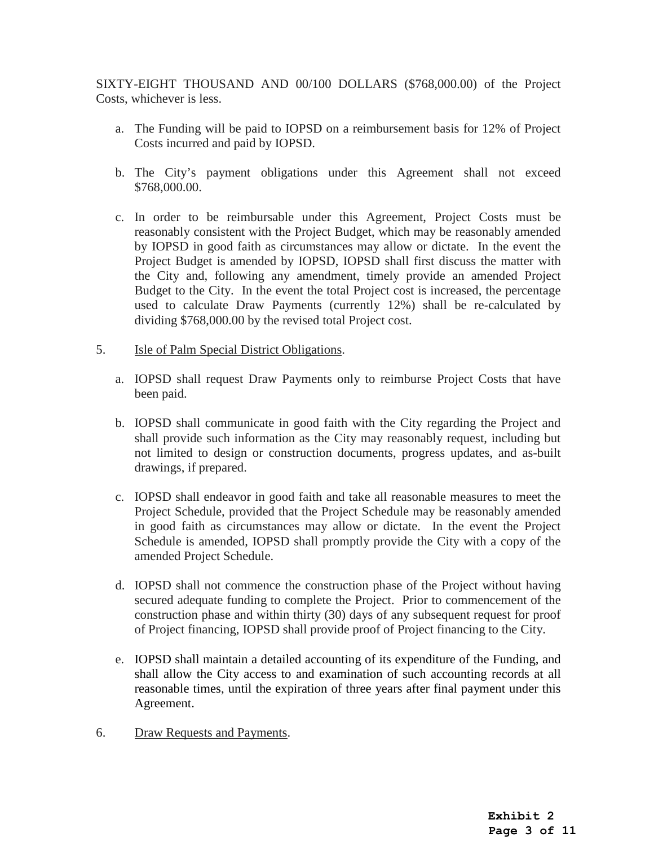SIXTY-EIGHT THOUSAND AND 00/100 DOLLARS (\$768,000.00) of the Project Costs, whichever is less.

- a. The Funding will be paid to IOPSD on a reimbursement basis for 12% of Project Costs incurred and paid by IOPSD.
- b. The City's payment obligations under this Agreement shall not exceed \$768,000.00.
- c. In order to be reimbursable under this Agreement, Project Costs must be reasonably consistent with the Project Budget, which may be reasonably amended by IOPSD in good faith as circumstances may allow or dictate. In the event the Project Budget is amended by IOPSD, IOPSD shall first discuss the matter with the City and, following any amendment, timely provide an amended Project Budget to the City. In the event the total Project cost is increased, the percentage used to calculate Draw Payments (currently 12%) shall be re-calculated by dividing \$768,000.00 by the revised total Project cost.
- 5. Isle of Palm Special District Obligations.
	- a. IOPSD shall request Draw Payments only to reimburse Project Costs that have been paid.
	- b. IOPSD shall communicate in good faith with the City regarding the Project and shall provide such information as the City may reasonably request, including but not limited to design or construction documents, progress updates, and as-built drawings, if prepared.
	- c. IOPSD shall endeavor in good faith and take all reasonable measures to meet the Project Schedule, provided that the Project Schedule may be reasonably amended in good faith as circumstances may allow or dictate. In the event the Project Schedule is amended, IOPSD shall promptly provide the City with a copy of the amended Project Schedule.
	- d. IOPSD shall not commence the construction phase of the Project without having secured adequate funding to complete the Project. Prior to commencement of the construction phase and within thirty (30) days of any subsequent request for proof of Project financing, IOPSD shall provide proof of Project financing to the City.
	- e. IOPSD shall maintain a detailed accounting of its expenditure of the Funding, and shall allow the City access to and examination of such accounting records at all reasonable times, until the expiration of three years after final payment under this Agreement.
- 6. Draw Requests and Payments.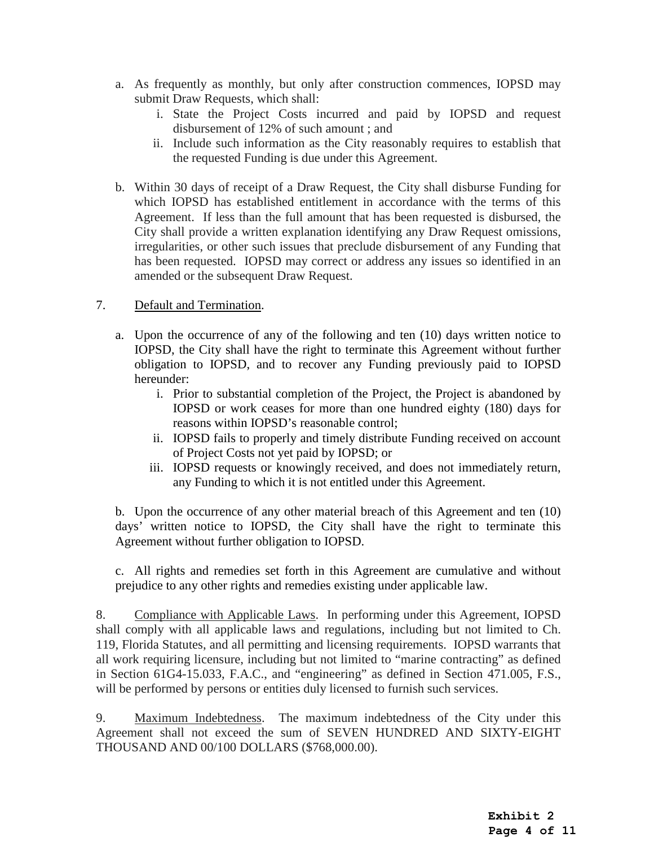- a. As frequently as monthly, but only after construction commences, IOPSD may submit Draw Requests, which shall:
	- i. State the Project Costs incurred and paid by IOPSD and request disbursement of 12% of such amount ; and
	- ii. Include such information as the City reasonably requires to establish that the requested Funding is due under this Agreement.
- b. Within 30 days of receipt of a Draw Request, the City shall disburse Funding for which IOPSD has established entitlement in accordance with the terms of this Agreement. If less than the full amount that has been requested is disbursed, the City shall provide a written explanation identifying any Draw Request omissions, irregularities, or other such issues that preclude disbursement of any Funding that has been requested. IOPSD may correct or address any issues so identified in an amended or the subsequent Draw Request.

# 7. Default and Termination.

- a. Upon the occurrence of any of the following and ten (10) days written notice to IOPSD, the City shall have the right to terminate this Agreement without further obligation to IOPSD, and to recover any Funding previously paid to IOPSD hereunder:
	- i. Prior to substantial completion of the Project, the Project is abandoned by IOPSD or work ceases for more than one hundred eighty (180) days for reasons within IOPSD's reasonable control;
	- ii. IOPSD fails to properly and timely distribute Funding received on account of Project Costs not yet paid by IOPSD; or
	- iii. IOPSD requests or knowingly received, and does not immediately return, any Funding to which it is not entitled under this Agreement.

b. Upon the occurrence of any other material breach of this Agreement and ten (10) days' written notice to IOPSD, the City shall have the right to terminate this Agreement without further obligation to IOPSD.

c. All rights and remedies set forth in this Agreement are cumulative and without prejudice to any other rights and remedies existing under applicable law.

8. Compliance with Applicable Laws. In performing under this Agreement, IOPSD shall comply with all applicable laws and regulations, including but not limited to Ch. 119, Florida Statutes, and all permitting and licensing requirements. IOPSD warrants that all work requiring licensure, including but not limited to "marine contracting" as defined in Section 61G4-15.033, F.A.C., and "engineering" as defined in Section 471.005, F.S., will be performed by persons or entities duly licensed to furnish such services.

9. Maximum Indebtedness. The maximum indebtedness of the City under this Agreement shall not exceed the sum of SEVEN HUNDRED AND SIXTY-EIGHT THOUSAND AND 00/100 DOLLARS (\$768,000.00).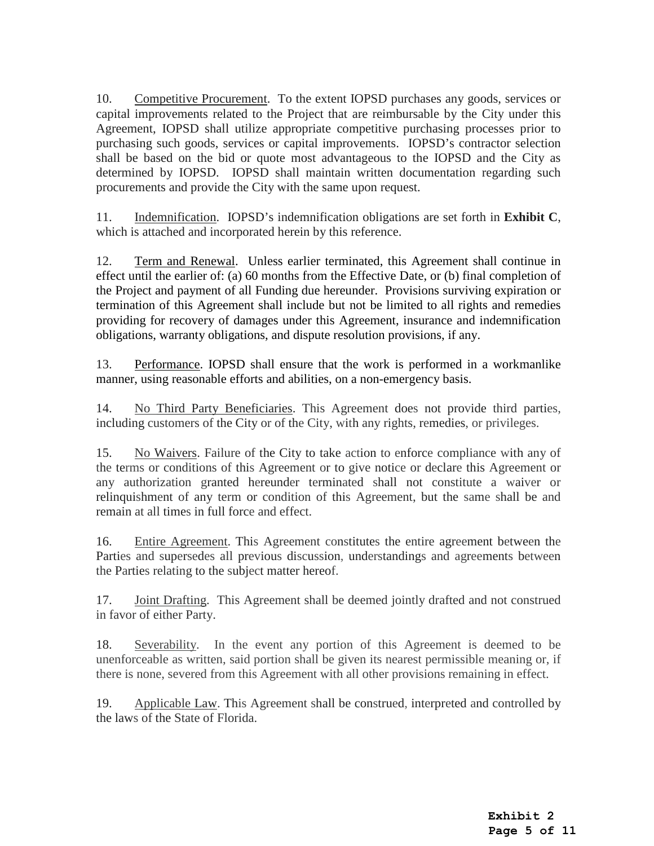10. Competitive Procurement.To the extent IOPSD purchases any goods, services or capital improvements related to the Project that are reimbursable by the City under this Agreement, IOPSD shall utilize appropriate competitive purchasing processes prior to purchasing such goods, services or capital improvements. IOPSD's contractor selection shall be based on the bid or quote most advantageous to the IOPSD and the City as determined by IOPSD. IOPSD shall maintain written documentation regarding such procurements and provide the City with the same upon request.

11. Indemnification. IOPSD's indemnification obligations are set forth in **Exhibit C**, which is attached and incorporated herein by this reference.

12. Term and Renewal. Unless earlier terminated, this Agreement shall continue in effect until the earlier of: (a) 60 months from the Effective Date, or (b) final completion of the Project and payment of all Funding due hereunder. Provisions surviving expiration or termination of this Agreement shall include but not be limited to all rights and remedies providing for recovery of damages under this Agreement, insurance and indemnification obligations, warranty obligations, and dispute resolution provisions, if any.

13. Performance. IOPSD shall ensure that the work is performed in a workmanlike manner, using reasonable efforts and abilities, on a non-emergency basis.

14. No Third Party Beneficiaries. This Agreement does not provide third parties, including customers of the City or of the City, with any rights, remedies, or privileges.

15. No Waivers. Failure of the City to take action to enforce compliance with any of the terms or conditions of this Agreement or to give notice or declare this Agreement or any authorization granted hereunder terminated shall not constitute a waiver or relinquishment of any term or condition of this Agreement, but the same shall be and remain at all times in full force and effect.

16. Entire Agreement. This Agreement constitutes the entire agreement between the Parties and supersedes all previous discussion, understandings and agreements between the Parties relating to the subject matter hereof.

17. Joint Drafting.This Agreement shall be deemed jointly drafted and not construed in favor of either Party.

18. Severability. In the event any portion of this Agreement is deemed to be unenforceable as written, said portion shall be given its nearest permissible meaning or, if there is none, severed from this Agreement with all other provisions remaining in effect.

19. Applicable Law. This Agreement shall be construed, interpreted and controlled by the laws of the State of Florida.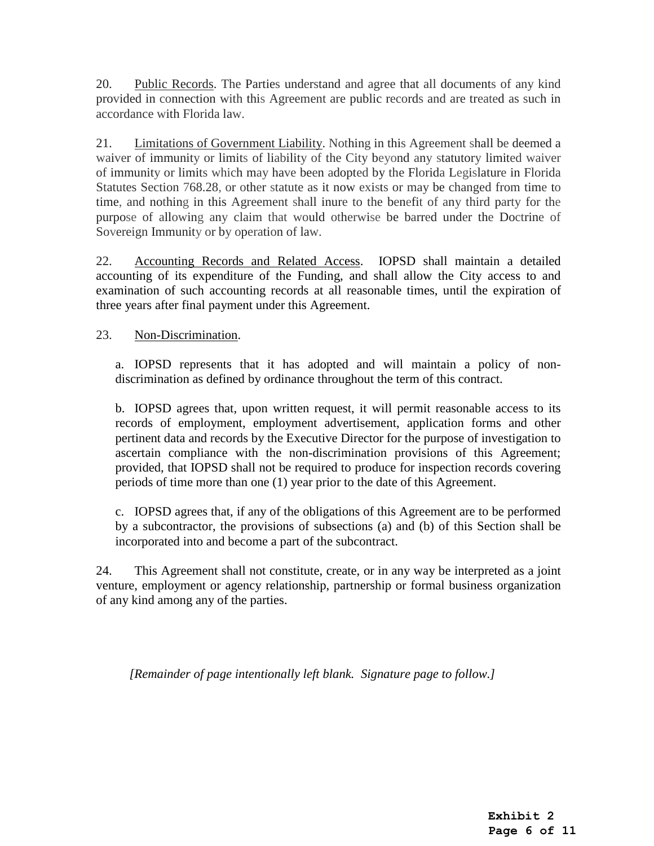20. Public Records. The Parties understand and agree that all documents of any kind provided in connection with this Agreement are public records and are treated as such in accordance with Florida law.

21. Limitations of Government Liability. Nothing in this Agreement shall be deemed a waiver of immunity or limits of liability of the City beyond any statutory limited waiver of immunity or limits which may have been adopted by the Florida Legislature in Florida Statutes Section 768.28, or other statute as it now exists or may be changed from time to time, and nothing in this Agreement shall inure to the benefit of any third party for the purpose of allowing any claim that would otherwise be barred under the Doctrine of Sovereign Immunity or by operation of law.

22. Accounting Records and Related Access. IOPSD shall maintain a detailed accounting of its expenditure of the Funding, and shall allow the City access to and examination of such accounting records at all reasonable times, until the expiration of three years after final payment under this Agreement.

23. Non-Discrimination.

a. IOPSD represents that it has adopted and will maintain a policy of nondiscrimination as defined by ordinance throughout the term of this contract.

b. IOPSD agrees that, upon written request, it will permit reasonable access to its records of employment, employment advertisement, application forms and other pertinent data and records by the Executive Director for the purpose of investigation to ascertain compliance with the non-discrimination provisions of this Agreement; provided, that IOPSD shall not be required to produce for inspection records covering periods of time more than one (1) year prior to the date of this Agreement.

c. IOPSD agrees that, if any of the obligations of this Agreement are to be performed by a subcontractor, the provisions of subsections (a) and (b) of this Section shall be incorporated into and become a part of the subcontract.

24. This Agreement shall not constitute, create, or in any way be interpreted as a joint venture, employment or agency relationship, partnership or formal business organization of any kind among any of the parties.

*[Remainder of page intentionally left blank. Signature page to follow.]*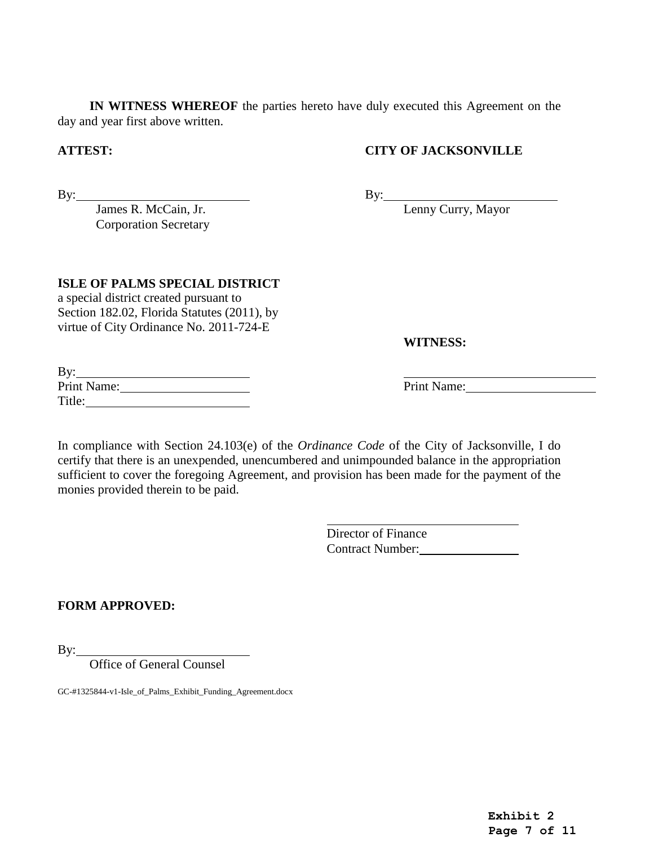**IN WITNESS WHEREOF** the parties hereto have duly executed this Agreement on the day and year first above written.

## **ATTEST: CITY OF JACKSONVILLE**

By: James R. McCain, Jr. Corporation Secretary By: Lenny Curry, Mayor

#### **ISLE OF PALMS SPECIAL DISTRICT**

a special district created pursuant to Section 182.02, Florida Statutes (2011), by virtue of City Ordinance No. 2011-724-E

**WITNESS:**

| By:         |  |
|-------------|--|
| Print Name: |  |
| Title:      |  |

Print Name:

In compliance with Section 24.103(e) of the *Ordinance Code* of the City of Jacksonville, I do certify that there is an unexpended, unencumbered and unimpounded balance in the appropriation sufficient to cover the foregoing Agreement, and provision has been made for the payment of the monies provided therein to be paid.

> Director of Finance Contract Number:

## **FORM APPROVED:**

By:

Office of General Counsel

GC-#1325844-v1-Isle\_of\_Palms\_Exhibit\_Funding\_Agreement.docx

**Exhibit 2 Page 7 of 11**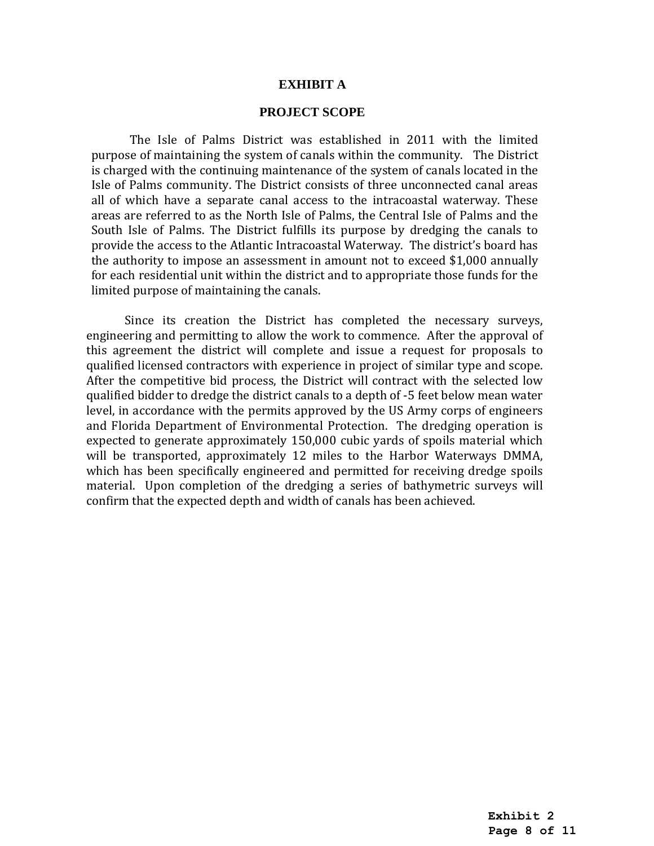#### **EXHIBIT A**

#### **PROJECT SCOPE**

The Isle of Palms District was established in 2011 with the limited purpose of maintaining the system of canals within the community. The District is charged with the continuing maintenance of the system of canals located in the Isle of Palms community. The District consists of three unconnected canal areas all of which have a separate canal access to the intracoastal waterway. These areas are referred to as the North Isle of Palms, the Central Isle of Palms and the South Isle of Palms. The District fulfills its purpose by dredging the canals to provide the access to the Atlantic Intracoastal Waterway. The district's board has the authority to impose an assessment in amount not to exceed \$1,000 annually for each residential unit within the district and to appropriate those funds for the limited purpose of maintaining the canals.

Since its creation the District has completed the necessary surveys, engineering and permitting to allow the work to commence. After the approval of this agreement the district will complete and issue a request for proposals to qualified licensed contractors with experience in project of similar type and scope. After the competitive bid process, the District will contract with the selected low qualified bidder to dredge the district canals to a depth of -5 feet below mean water level, in accordance with the permits approved by the US Army corps of engineers and Florida Department of Environmental Protection. The dredging operation is expected to generate approximately 150,000 cubic yards of spoils material which will be transported, approximately 12 miles to the Harbor Waterways DMMA, which has been specifically engineered and permitted for receiving dredge spoils material. Upon completion of the dredging a series of bathymetric surveys will confirm that the expected depth and width of canals has been achieved.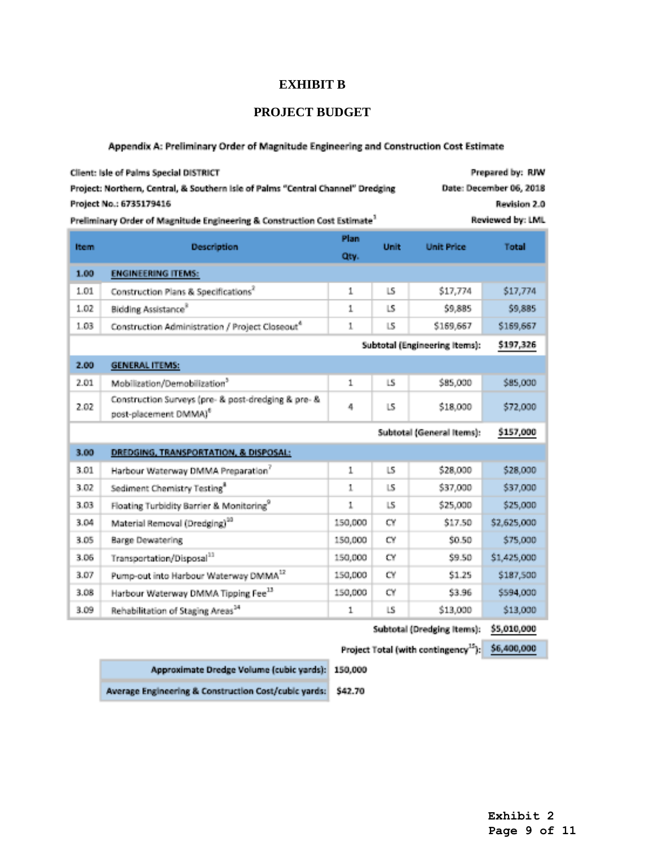### **EXHIBIT B**

## **PROJECT BUDGET**

#### Appendix A: Preliminary Order of Magnitude Engineering and Construction Cost Estimate

| <b>Client: Isle of Palms Special DISTRICT</b>                                                            |                                                                                          |               |                          | <b>Prepared by: RJW</b> |             |  |  |
|----------------------------------------------------------------------------------------------------------|------------------------------------------------------------------------------------------|---------------|--------------------------|-------------------------|-------------|--|--|
| Project: Northern, Central, & Southern Isle of Palms "Central Channel" Dredging                          |                                                                                          |               | Date: December 06, 2018  |                         |             |  |  |
| Project No.: 6735179416<br>Revision 2.0                                                                  |                                                                                          |               |                          |                         |             |  |  |
| Reviewed by: LML<br>Preliminary Order of Magnitude Engineering & Construction Cost Estimate <sup>3</sup> |                                                                                          |               |                          |                         |             |  |  |
| <b>Item</b>                                                                                              | <b>Description</b>                                                                       | Plan.<br>Qtv. | Unit                     | <b>Unit Price</b>       | Total       |  |  |
| 1.00<br><b>ENGINEERING ITEMS:</b>                                                                        |                                                                                          |               |                          |                         |             |  |  |
| 1.01                                                                                                     | Construction Plans & Specifications <sup>2</sup>                                         | 1.            | $\lfloor S \rfloor$      | \$17,774                | \$17,774    |  |  |
| 1.02                                                                                                     | Bidding Assistance <sup>8</sup>                                                          | 1.            | $\ S\ $                  | \$9,885                 | \$9,885     |  |  |
| 1.03                                                                                                     | Construction Administration / Project Closeout <sup>4</sup>                              | $\mathbf{1}$  | $\ S\ $                  | \$169,667               | \$169,667   |  |  |
|                                                                                                          | Subtotal (Engineering Items):<br>\$197,326                                               |               |                          |                         |             |  |  |
| 2.00                                                                                                     | <b>GENERAL ITEMS:</b>                                                                    |               |                          |                         |             |  |  |
| 2.01                                                                                                     | Mobilization/Demobilization <sup>3</sup>                                                 | $\mathbf{1}$  | LS                       | \$85,000                | \$85,000    |  |  |
| 2.02                                                                                                     | Construction Surveys (pre- & post-dredging & pre- &<br>post-placement DMMAI <sup>6</sup> | 4             | $\mathbb{L}\mathbb{S}_1$ | \$18,000                | \$72,000    |  |  |
| Subtotal (General Items):                                                                                |                                                                                          |               |                          |                         |             |  |  |
| 3.00                                                                                                     | DREDGING, TRANSPORTATION, & DISPOSAL:                                                    |               |                          |                         |             |  |  |
| 3.01                                                                                                     | Harbour Waterway DMMA Preparation <sup>7</sup>                                           | 1.            | $\pm S_1$                | \$28,000                | \$28,000    |  |  |
| 3.02                                                                                                     | Sediment Chemistry Testing <sup>®</sup>                                                  | $\mathbf{1}$  | $\mathbb{L}\mathbb{S}$   | \$37,000                | \$37,000    |  |  |
| 3.03                                                                                                     | Floating Turbidity Barrier & Monitoring <sup>9</sup>                                     | 1.            | $\mathbb{L}\mathbb{S}_0$ | \$25,000                | \$25,000    |  |  |
| 3.04                                                                                                     | Material Removal (Dredging) <sup>30</sup>                                                | 150,000       | CY.                      | \$17.50                 | \$2,625,000 |  |  |
| 3.05                                                                                                     | Barge Dewatering                                                                         | 150,000       | CY                       | \$0.50                  | \$75,000    |  |  |
| 3.06                                                                                                     | Transportation/Disposal <sup>11</sup>                                                    | 150,000       | CY.                      | \$9.50                  | \$1,425,000 |  |  |
| 3.07                                                                                                     | Pump-out into Harbour Waterway DMMA12                                                    | 150,000       | CΨ                       | \$1.25                  | \$187,500   |  |  |
| 3.08                                                                                                     | Harbour Waterway DMMA Tipping Fee <sup>13</sup>                                          | 150,000       | CY                       | \$3.96                  | \$594,000   |  |  |
| 3.09                                                                                                     | Rehabilitation of Staging Areas <sup>54</sup>                                            | $\mathbf{1}$  | LS.                      | \$13,000                | \$13,000    |  |  |
| かいしゅっしょう たいしゃ きょうしょうしょう こうぞう おおお                                                                         |                                                                                          |               |                          |                         |             |  |  |

Subtotal (Dredging Items): \$5,010,000

Project Total (with contingency<sup>15</sup>): \$6,400,000

Approximate Dredge Volume (cubic yards): 150,000

Average Engineering & Construction Cost/cubic yards: \$42.70

**Page 9 of 11**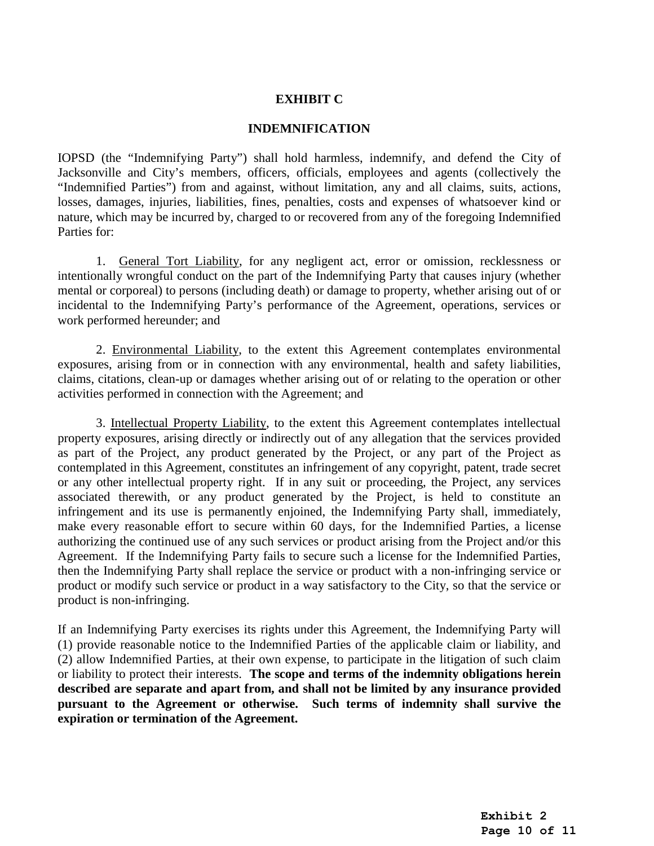### **EXHIBIT C**

#### **INDEMNIFICATION**

IOPSD (the "Indemnifying Party") shall hold harmless, indemnify, and defend the City of Jacksonville and City's members, officers, officials, employees and agents (collectively the "Indemnified Parties") from and against, without limitation, any and all claims, suits, actions, losses, damages, injuries, liabilities, fines, penalties, costs and expenses of whatsoever kind or nature, which may be incurred by, charged to or recovered from any of the foregoing Indemnified Parties for:

1. General Tort Liability, for any negligent act, error or omission, recklessness or intentionally wrongful conduct on the part of the Indemnifying Party that causes injury (whether mental or corporeal) to persons (including death) or damage to property, whether arising out of or incidental to the Indemnifying Party's performance of the Agreement, operations, services or work performed hereunder; and

2. Environmental Liability, to the extent this Agreement contemplates environmental exposures, arising from or in connection with any environmental, health and safety liabilities, claims, citations, clean-up or damages whether arising out of or relating to the operation or other activities performed in connection with the Agreement; and

3. Intellectual Property Liability, to the extent this Agreement contemplates intellectual property exposures, arising directly or indirectly out of any allegation that the services provided as part of the Project, any product generated by the Project, or any part of the Project as contemplated in this Agreement, constitutes an infringement of any copyright, patent, trade secret or any other intellectual property right. If in any suit or proceeding, the Project, any services associated therewith, or any product generated by the Project, is held to constitute an infringement and its use is permanently enjoined, the Indemnifying Party shall, immediately, make every reasonable effort to secure within 60 days, for the Indemnified Parties, a license authorizing the continued use of any such services or product arising from the Project and/or this Agreement. If the Indemnifying Party fails to secure such a license for the Indemnified Parties, then the Indemnifying Party shall replace the service or product with a non-infringing service or product or modify such service or product in a way satisfactory to the City, so that the service or product is non-infringing.

If an Indemnifying Party exercises its rights under this Agreement, the Indemnifying Party will (1) provide reasonable notice to the Indemnified Parties of the applicable claim or liability, and (2) allow Indemnified Parties, at their own expense, to participate in the litigation of such claim or liability to protect their interests. **The scope and terms of the indemnity obligations herein described are separate and apart from, and shall not be limited by any insurance provided pursuant to the Agreement or otherwise. Such terms of indemnity shall survive the expiration or termination of the Agreement.**